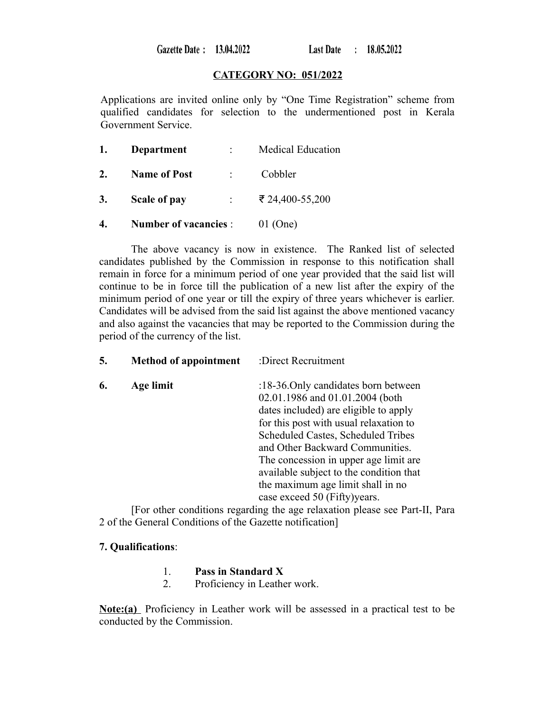Gazette Date: 13.04.2022

Last Date : 18.05.2022

### **CATEGORY NO: 051/2022**

Applications are invited online only by "One Time Registration" scheme from qualified candidates for selection to the undermentioned post in Kerala Government Service.

| 1. | Department                       | <b>Medical Education</b> |
|----|----------------------------------|--------------------------|
| 2. | <b>Name of Post</b>              | Cobbler                  |
| 3. | Scale of pay<br>$\mathbb{R}^{n}$ | ₹ 24,400-55,200          |
| 4. | <b>Number of vacancies:</b>      | 01 (One)                 |

The above vacancy is now in existence. The Ranked list of selected candidates published by the Commission in response to this notification shall remain in force for a minimum period of one year provided that the said list will continue to be in force till the publication of a new list after the expiry of the minimum period of one year or till the expiry of three years whichever is earlier. Candidates will be advised from the said list against the above mentioned vacancy and also against the vacancies that may be reported to the Commission during the period of the currency of the list.

| 5. | <b>Method of appointment</b> | :Direct Recruitment                     |
|----|------------------------------|-----------------------------------------|
| 6. | Age limit                    | :18-36. Only candidates born between    |
|    |                              | 02.01.1986 and 01.01.2004 (both         |
|    |                              | dates included) are eligible to apply   |
|    |                              | for this post with usual relaxation to  |
|    |                              | Scheduled Castes, Scheduled Tribes      |
|    |                              | and Other Backward Communities.         |
|    |                              | The concession in upper age limit are.  |
|    |                              | available subject to the condition that |
|    |                              | the maximum age limit shall in no       |
|    |                              | case exceed 50 (Fifty) years.           |
|    |                              |                                         |

[For other conditions regarding the age relaxation please see Part-II, Para 2 of the General Conditions of the Gazette notification]

### **7. Qualifications**:

- 1. **Pass in Standard X**
- 2. Proficiency in Leather work.

**Note:(a)** Proficiency in Leather work will be assessed in a practical test to be conducted by the Commission.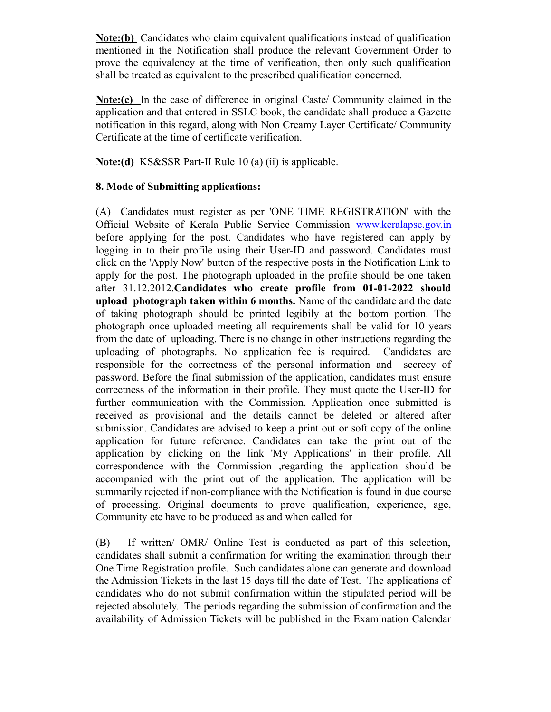**Note:(b)** Candidates who claim equivalent qualifications instead of qualification mentioned in the Notification shall produce the relevant Government Order to prove the equivalency at the time of verification, then only such qualification shall be treated as equivalent to the prescribed qualification concerned.

**Note:(c)** In the case of difference in original Caste/ Community claimed in the application and that entered in SSLC book, the candidate shall produce a Gazette notification in this regard, along with Non Creamy Layer Certificate/ Community Certificate at the time of certificate verification.

**Note:(d)** KS&SSR Part-II Rule 10 (a) (ii) is applicable.

## **8. Mode of Submitting applications:**

(A) Candidates must register as per 'ONE TIME REGISTRATION' with the Official Website of Kerala Public Service Commission [www.keralapsc.gov.in](http://www.kerealapsc.gov.in/) before applying for the post. Candidates who have registered can apply by logging in to their profile using their User-ID and password. Candidates must click on the 'Apply Now' button of the respective posts in the Notification Link to apply for the post. The photograph uploaded in the profile should be one taken after 31.12.2012.**Candidates who create profile from 01-01-2022 should upload photograph taken within 6 months.** Name of the candidate and the date of taking photograph should be printed legibily at the bottom portion. The photograph once uploaded meeting all requirements shall be valid for 10 years from the date of uploading. There is no change in other instructions regarding the uploading of photographs. No application fee is required. Candidates are responsible for the correctness of the personal information and secrecy of password. Before the final submission of the application, candidates must ensure correctness of the information in their profile. They must quote the User-ID for further communication with the Commission. Application once submitted is received as provisional and the details cannot be deleted or altered after submission. Candidates are advised to keep a print out or soft copy of the online application for future reference. Candidates can take the print out of the application by clicking on the link 'My Applications' in their profile. All correspondence with the Commission ,regarding the application should be accompanied with the print out of the application. The application will be summarily rejected if non-compliance with the Notification is found in due course of processing. Original documents to prove qualification, experience, age, Community etc have to be produced as and when called for

(B) If written/ OMR/ Online Test is conducted as part of this selection, candidates shall submit a confirmation for writing the examination through their One Time Registration profile. Such candidates alone can generate and download the Admission Tickets in the last 15 days till the date of Test. The applications of candidates who do not submit confirmation within the stipulated period will be rejected absolutely. The periods regarding the submission of confirmation and the availability of Admission Tickets will be published in the Examination Calendar